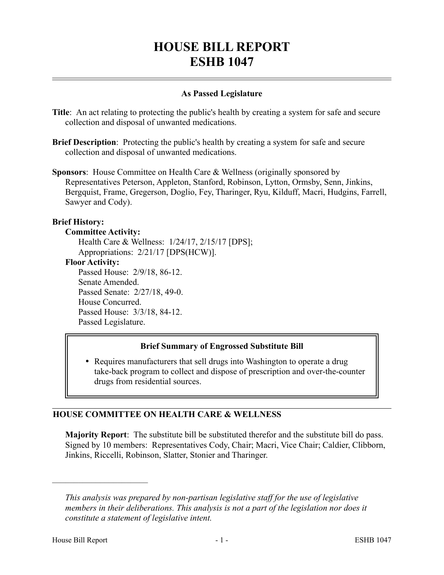# **HOUSE BILL REPORT ESHB 1047**

## **As Passed Legislature**

- **Title**: An act relating to protecting the public's health by creating a system for safe and secure collection and disposal of unwanted medications.
- **Brief Description**: Protecting the public's health by creating a system for safe and secure collection and disposal of unwanted medications.
- **Sponsors**: House Committee on Health Care & Wellness (originally sponsored by Representatives Peterson, Appleton, Stanford, Robinson, Lytton, Ormsby, Senn, Jinkins, Bergquist, Frame, Gregerson, Doglio, Fey, Tharinger, Ryu, Kilduff, Macri, Hudgins, Farrell, Sawyer and Cody).

#### **Brief History:**

#### **Committee Activity:**

Health Care & Wellness: 1/24/17, 2/15/17 [DPS]; Appropriations: 2/21/17 [DPS(HCW)].

#### **Floor Activity:**

Passed House: 2/9/18, 86-12. Senate Amended. Passed Senate: 2/27/18, 49-0. House Concurred. Passed House: 3/3/18, 84-12. Passed Legislature.

## **Brief Summary of Engrossed Substitute Bill**

• Requires manufacturers that sell drugs into Washington to operate a drug take-back program to collect and dispose of prescription and over-the-counter drugs from residential sources.

## **HOUSE COMMITTEE ON HEALTH CARE & WELLNESS**

**Majority Report**: The substitute bill be substituted therefor and the substitute bill do pass. Signed by 10 members: Representatives Cody, Chair; Macri, Vice Chair; Caldier, Clibborn, Jinkins, Riccelli, Robinson, Slatter, Stonier and Tharinger.

––––––––––––––––––––––

*This analysis was prepared by non-partisan legislative staff for the use of legislative members in their deliberations. This analysis is not a part of the legislation nor does it constitute a statement of legislative intent.*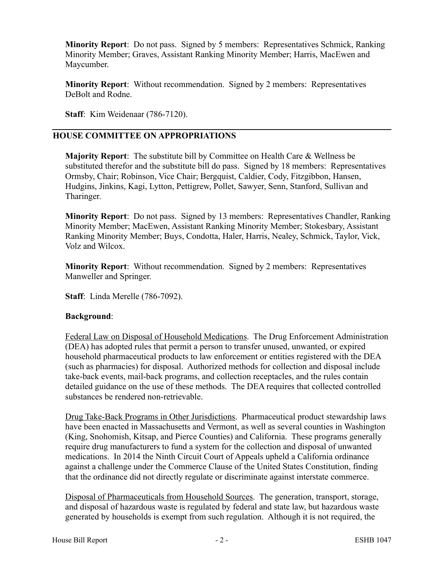**Minority Report**: Do not pass. Signed by 5 members: Representatives Schmick, Ranking Minority Member; Graves, Assistant Ranking Minority Member; Harris, MacEwen and Maycumber.

**Minority Report**: Without recommendation. Signed by 2 members: Representatives DeBolt and Rodne.

**Staff**: Kim Weidenaar (786-7120).

#### **HOUSE COMMITTEE ON APPROPRIATIONS**

**Majority Report**: The substitute bill by Committee on Health Care & Wellness be substituted therefor and the substitute bill do pass. Signed by 18 members: Representatives Ormsby, Chair; Robinson, Vice Chair; Bergquist, Caldier, Cody, Fitzgibbon, Hansen, Hudgins, Jinkins, Kagi, Lytton, Pettigrew, Pollet, Sawyer, Senn, Stanford, Sullivan and Tharinger.

**Minority Report**: Do not pass. Signed by 13 members: Representatives Chandler, Ranking Minority Member; MacEwen, Assistant Ranking Minority Member; Stokesbary, Assistant Ranking Minority Member; Buys, Condotta, Haler, Harris, Nealey, Schmick, Taylor, Vick, Volz and Wilcox.

**Minority Report**: Without recommendation. Signed by 2 members: Representatives Manweller and Springer.

**Staff**: Linda Merelle (786-7092).

#### **Background**:

Federal Law on Disposal of Household Medications. The Drug Enforcement Administration (DEA) has adopted rules that permit a person to transfer unused, unwanted, or expired household pharmaceutical products to law enforcement or entities registered with the DEA (such as pharmacies) for disposal. Authorized methods for collection and disposal include take-back events, mail-back programs, and collection receptacles, and the rules contain detailed guidance on the use of these methods. The DEA requires that collected controlled substances be rendered non-retrievable.

Drug Take-Back Programs in Other Jurisdictions. Pharmaceutical product stewardship laws have been enacted in Massachusetts and Vermont, as well as several counties in Washington (King, Snohomish, Kitsap, and Pierce Counties) and California. These programs generally require drug manufacturers to fund a system for the collection and disposal of unwanted medications. In 2014 the Ninth Circuit Court of Appeals upheld a California ordinance against a challenge under the Commerce Clause of the United States Constitution, finding that the ordinance did not directly regulate or discriminate against interstate commerce.

Disposal of Pharmaceuticals from Household Sources. The generation, transport, storage, and disposal of hazardous waste is regulated by federal and state law, but hazardous waste generated by households is exempt from such regulation. Although it is not required, the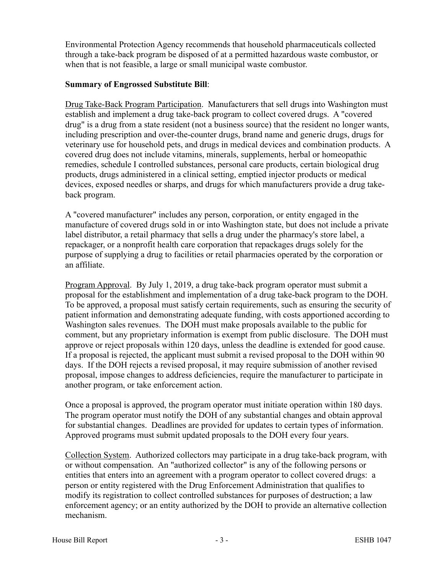Environmental Protection Agency recommends that household pharmaceuticals collected through a take-back program be disposed of at a permitted hazardous waste combustor, or when that is not feasible, a large or small municipal waste combustor.

#### **Summary of Engrossed Substitute Bill**:

Drug Take-Back Program Participation. Manufacturers that sell drugs into Washington must establish and implement a drug take-back program to collect covered drugs. A "covered drug" is a drug from a state resident (not a business source) that the resident no longer wants, including prescription and over-the-counter drugs, brand name and generic drugs, drugs for veterinary use for household pets, and drugs in medical devices and combination products. A covered drug does not include vitamins, minerals, supplements, herbal or homeopathic remedies, schedule I controlled substances, personal care products, certain biological drug products, drugs administered in a clinical setting, emptied injector products or medical devices, exposed needles or sharps, and drugs for which manufacturers provide a drug takeback program.

A "covered manufacturer" includes any person, corporation, or entity engaged in the manufacture of covered drugs sold in or into Washington state, but does not include a private label distributor, a retail pharmacy that sells a drug under the pharmacy's store label, a repackager, or a nonprofit health care corporation that repackages drugs solely for the purpose of supplying a drug to facilities or retail pharmacies operated by the corporation or an affiliate.

Program Approval. By July 1, 2019, a drug take-back program operator must submit a proposal for the establishment and implementation of a drug take-back program to the DOH. To be approved, a proposal must satisfy certain requirements, such as ensuring the security of patient information and demonstrating adequate funding, with costs apportioned according to Washington sales revenues. The DOH must make proposals available to the public for comment, but any proprietary information is exempt from public disclosure. The DOH must approve or reject proposals within 120 days, unless the deadline is extended for good cause. If a proposal is rejected, the applicant must submit a revised proposal to the DOH within 90 days. If the DOH rejects a revised proposal, it may require submission of another revised proposal, impose changes to address deficiencies, require the manufacturer to participate in another program, or take enforcement action.

Once a proposal is approved, the program operator must initiate operation within 180 days. The program operator must notify the DOH of any substantial changes and obtain approval for substantial changes. Deadlines are provided for updates to certain types of information. Approved programs must submit updated proposals to the DOH every four years.

Collection System. Authorized collectors may participate in a drug take-back program, with or without compensation. An "authorized collector" is any of the following persons or entities that enters into an agreement with a program operator to collect covered drugs: a person or entity registered with the Drug Enforcement Administration that qualifies to modify its registration to collect controlled substances for purposes of destruction; a law enforcement agency; or an entity authorized by the DOH to provide an alternative collection mechanism.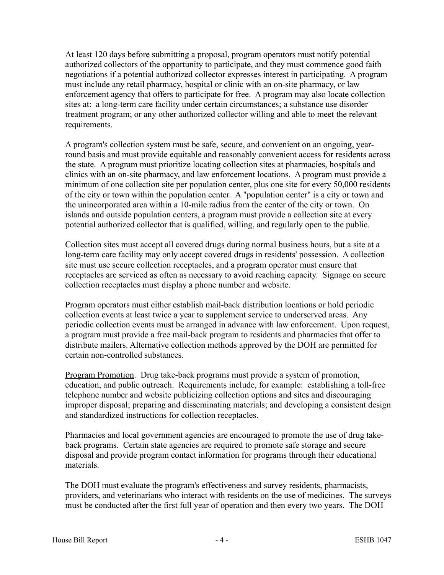At least 120 days before submitting a proposal, program operators must notify potential authorized collectors of the opportunity to participate, and they must commence good faith negotiations if a potential authorized collector expresses interest in participating. A program must include any retail pharmacy, hospital or clinic with an on-site pharmacy, or law enforcement agency that offers to participate for free. A program may also locate collection sites at: a long-term care facility under certain circumstances; a substance use disorder treatment program; or any other authorized collector willing and able to meet the relevant requirements.

A program's collection system must be safe, secure, and convenient on an ongoing, yearround basis and must provide equitable and reasonably convenient access for residents across the state. A program must prioritize locating collection sites at pharmacies, hospitals and clinics with an on-site pharmacy, and law enforcement locations. A program must provide a minimum of one collection site per population center, plus one site for every 50,000 residents of the city or town within the population center. A "population center" is a city or town and the unincorporated area within a 10-mile radius from the center of the city or town. On islands and outside population centers, a program must provide a collection site at every potential authorized collector that is qualified, willing, and regularly open to the public.

Collection sites must accept all covered drugs during normal business hours, but a site at a long-term care facility may only accept covered drugs in residents' possession. A collection site must use secure collection receptacles, and a program operator must ensure that receptacles are serviced as often as necessary to avoid reaching capacity. Signage on secure collection receptacles must display a phone number and website.

Program operators must either establish mail-back distribution locations or hold periodic collection events at least twice a year to supplement service to underserved areas. Any periodic collection events must be arranged in advance with law enforcement. Upon request, a program must provide a free mail-back program to residents and pharmacies that offer to distribute mailers. Alternative collection methods approved by the DOH are permitted for certain non-controlled substances.

Program Promotion. Drug take-back programs must provide a system of promotion, education, and public outreach. Requirements include, for example: establishing a toll-free telephone number and website publicizing collection options and sites and discouraging improper disposal; preparing and disseminating materials; and developing a consistent design and standardized instructions for collection receptacles.

Pharmacies and local government agencies are encouraged to promote the use of drug takeback programs. Certain state agencies are required to promote safe storage and secure disposal and provide program contact information for programs through their educational materials.

The DOH must evaluate the program's effectiveness and survey residents, pharmacists, providers, and veterinarians who interact with residents on the use of medicines. The surveys must be conducted after the first full year of operation and then every two years. The DOH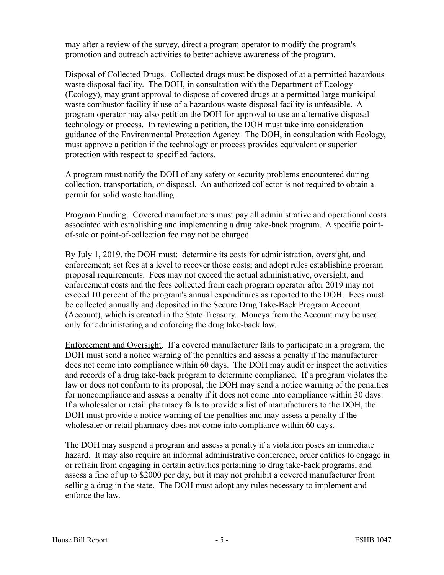may after a review of the survey, direct a program operator to modify the program's promotion and outreach activities to better achieve awareness of the program.

Disposal of Collected Drugs. Collected drugs must be disposed of at a permitted hazardous waste disposal facility. The DOH, in consultation with the Department of Ecology (Ecology), may grant approval to dispose of covered drugs at a permitted large municipal waste combustor facility if use of a hazardous waste disposal facility is unfeasible. A program operator may also petition the DOH for approval to use an alternative disposal technology or process. In reviewing a petition, the DOH must take into consideration guidance of the Environmental Protection Agency. The DOH, in consultation with Ecology, must approve a petition if the technology or process provides equivalent or superior protection with respect to specified factors.

A program must notify the DOH of any safety or security problems encountered during collection, transportation, or disposal. An authorized collector is not required to obtain a permit for solid waste handling.

Program Funding. Covered manufacturers must pay all administrative and operational costs associated with establishing and implementing a drug take-back program. A specific pointof-sale or point-of-collection fee may not be charged.

By July 1, 2019, the DOH must: determine its costs for administration, oversight, and enforcement; set fees at a level to recover those costs; and adopt rules establishing program proposal requirements. Fees may not exceed the actual administrative, oversight, and enforcement costs and the fees collected from each program operator after 2019 may not exceed 10 percent of the program's annual expenditures as reported to the DOH. Fees must be collected annually and deposited in the Secure Drug Take-Back Program Account (Account), which is created in the State Treasury. Moneys from the Account may be used only for administering and enforcing the drug take-back law.

Enforcement and Oversight. If a covered manufacturer fails to participate in a program, the DOH must send a notice warning of the penalties and assess a penalty if the manufacturer does not come into compliance within 60 days. The DOH may audit or inspect the activities and records of a drug take-back program to determine compliance. If a program violates the law or does not conform to its proposal, the DOH may send a notice warning of the penalties for noncompliance and assess a penalty if it does not come into compliance within 30 days. If a wholesaler or retail pharmacy fails to provide a list of manufacturers to the DOH, the DOH must provide a notice warning of the penalties and may assess a penalty if the wholesaler or retail pharmacy does not come into compliance within 60 days.

The DOH may suspend a program and assess a penalty if a violation poses an immediate hazard. It may also require an informal administrative conference, order entities to engage in or refrain from engaging in certain activities pertaining to drug take-back programs, and assess a fine of up to \$2000 per day, but it may not prohibit a covered manufacturer from selling a drug in the state. The DOH must adopt any rules necessary to implement and enforce the law.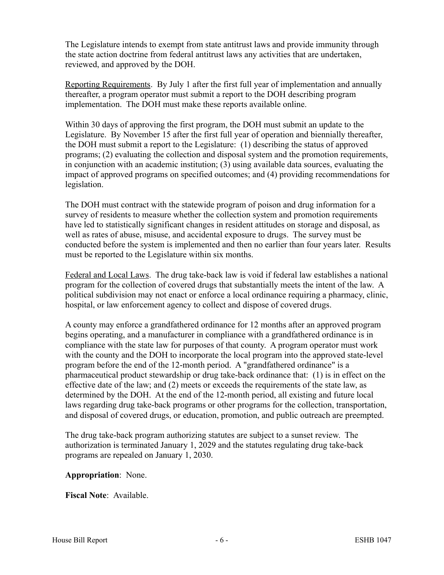The Legislature intends to exempt from state antitrust laws and provide immunity through the state action doctrine from federal antitrust laws any activities that are undertaken, reviewed, and approved by the DOH.

Reporting Requirements. By July 1 after the first full year of implementation and annually thereafter, a program operator must submit a report to the DOH describing program implementation. The DOH must make these reports available online.

Within 30 days of approving the first program, the DOH must submit an update to the Legislature. By November 15 after the first full year of operation and biennially thereafter, the DOH must submit a report to the Legislature: (1) describing the status of approved programs; (2) evaluating the collection and disposal system and the promotion requirements, in conjunction with an academic institution; (3) using available data sources, evaluating the impact of approved programs on specified outcomes; and (4) providing recommendations for legislation.

The DOH must contract with the statewide program of poison and drug information for a survey of residents to measure whether the collection system and promotion requirements have led to statistically significant changes in resident attitudes on storage and disposal, as well as rates of abuse, misuse, and accidental exposure to drugs. The survey must be conducted before the system is implemented and then no earlier than four years later. Results must be reported to the Legislature within six months.

Federal and Local Laws. The drug take-back law is void if federal law establishes a national program for the collection of covered drugs that substantially meets the intent of the law. A political subdivision may not enact or enforce a local ordinance requiring a pharmacy, clinic, hospital, or law enforcement agency to collect and dispose of covered drugs.

A county may enforce a grandfathered ordinance for 12 months after an approved program begins operating, and a manufacturer in compliance with a grandfathered ordinance is in compliance with the state law for purposes of that county. A program operator must work with the county and the DOH to incorporate the local program into the approved state-level program before the end of the 12-month period. A "grandfathered ordinance" is a pharmaceutical product stewardship or drug take-back ordinance that: (1) is in effect on the effective date of the law; and (2) meets or exceeds the requirements of the state law, as determined by the DOH. At the end of the 12-month period, all existing and future local laws regarding drug take-back programs or other programs for the collection, transportation, and disposal of covered drugs, or education, promotion, and public outreach are preempted.

The drug take-back program authorizing statutes are subject to a sunset review. The authorization is terminated January 1, 2029 and the statutes regulating drug take-back programs are repealed on January 1, 2030.

## **Appropriation**: None.

**Fiscal Note**: Available.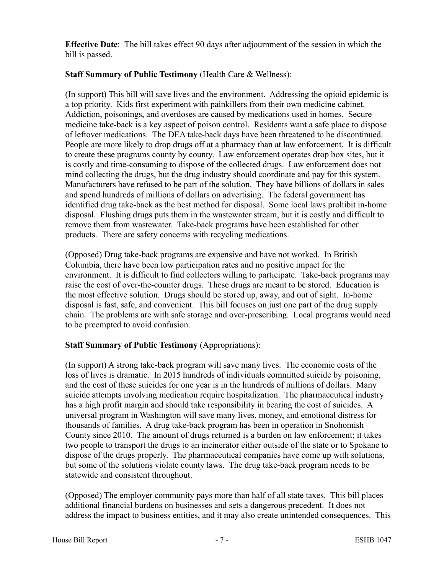**Effective Date**: The bill takes effect 90 days after adjournment of the session in which the bill is passed.

## **Staff Summary of Public Testimony** (Health Care & Wellness):

(In support) This bill will save lives and the environment. Addressing the opioid epidemic is a top priority. Kids first experiment with painkillers from their own medicine cabinet. Addiction, poisonings, and overdoses are caused by medications used in homes. Secure medicine take-back is a key aspect of poison control. Residents want a safe place to dispose of leftover medications. The DEA take-back days have been threatened to be discontinued. People are more likely to drop drugs off at a pharmacy than at law enforcement. It is difficult to create these programs county by county. Law enforcement operates drop box sites, but it is costly and time-consuming to dispose of the collected drugs. Law enforcement does not mind collecting the drugs, but the drug industry should coordinate and pay for this system. Manufacturers have refused to be part of the solution. They have billions of dollars in sales and spend hundreds of millions of dollars on advertising. The federal government has identified drug take-back as the best method for disposal. Some local laws prohibit in-home disposal. Flushing drugs puts them in the wastewater stream, but it is costly and difficult to remove them from wastewater. Take-back programs have been established for other products. There are safety concerns with recycling medications.

(Opposed) Drug take-back programs are expensive and have not worked. In British Columbia, there have been low participation rates and no positive impact for the environment. It is difficult to find collectors willing to participate. Take-back programs may raise the cost of over-the-counter drugs. These drugs are meant to be stored. Education is the most effective solution. Drugs should be stored up, away, and out of sight. In-home disposal is fast, safe, and convenient. This bill focuses on just one part of the drug supply chain. The problems are with safe storage and over-prescribing. Local programs would need to be preempted to avoid confusion.

## **Staff Summary of Public Testimony** (Appropriations):

(In support) A strong take-back program will save many lives. The economic costs of the loss of lives is dramatic. In 2015 hundreds of individuals committed suicide by poisoning, and the cost of these suicides for one year is in the hundreds of millions of dollars. Many suicide attempts involving medication require hospitalization. The pharmaceutical industry has a high profit margin and should take responsibility in bearing the cost of suicides. A universal program in Washington will save many lives, money, and emotional distress for thousands of families. A drug take-back program has been in operation in Snohomish County since 2010. The amount of drugs returned is a burden on law enforcement; it takes two people to transport the drugs to an incinerator either outside of the state or to Spokane to dispose of the drugs properly. The pharmaceutical companies have come up with solutions, but some of the solutions violate county laws. The drug take-back program needs to be statewide and consistent throughout.

(Opposed) The employer community pays more than half of all state taxes. This bill places additional financial burdens on businesses and sets a dangerous precedent. It does not address the impact to business entities, and it may also create unintended consequences. This